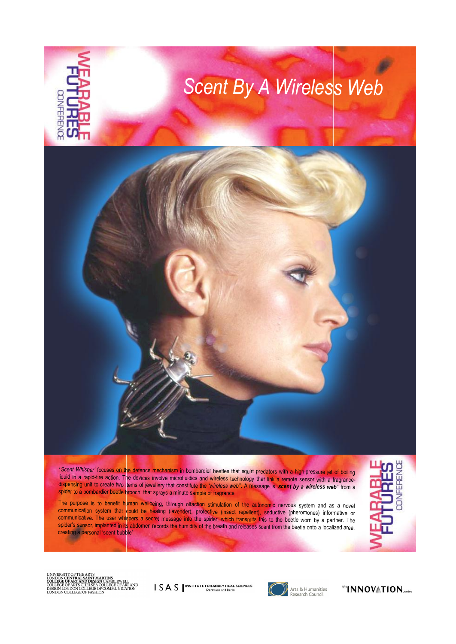

<sup>ë</sup>*Scent Whisper<sup>í</sup>* focuses on the defence mechanism in bombardier beetles that squirt predators with a high-pressure jet of boiling dispensing unit to create two items of jewellery that constitute the 'wireless web". A message is 'scent by a wireless web" from a spider to a bombardier beetle brooch, that sprays a minute sample of fragrance.

spider to a bombardier beetle brooch, that sprays a minute sample of fragrance.<br>The purpose is to benefit human wellbeing, through olfaction stimulation of the autonomic nervous system and as a novel<br>communication system t communication system that could be healing (lavender), protective (insect repellent), seductive (pheromones) informative or communicative. The user whispers a secret message into the spider, which transmits this to the beetle worn by a partner. The spider's sensor, implanted in its abdomen records the humidity of the breath and releases scent from the beetle onto a localized area, creating a personal 'scent bubble'



UNIVERSITY OF THE ARTS<br>LONDON **CENTRAL SAMT MARTINS<br>COLLEGE OF ARTS CHELSEA COLLEGE OF ART AND<br>DESIGN LONDON COLLEGE OF ACCOMMUNICATION<br>DESIGN LONDON COLLEGE OF FASHION<br>LONDON COLLEGE OF FASHION** 

**SAS** INSTITUTE FOR ANALYTICAL SCIENCES



Arts & Humanities<br>Research Council

the INNOVATION<sub>centre</sub>